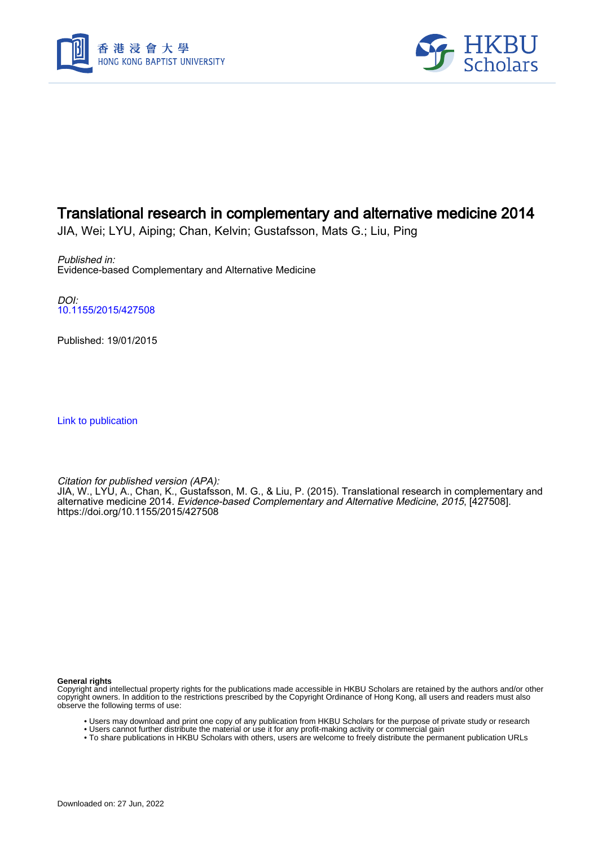



## Translational research in complementary and alternative medicine 2014

JIA, Wei; LYU, Aiping; Chan, Kelvin; Gustafsson, Mats G.; Liu, Ping

Published in: Evidence-based Complementary and Alternative Medicine

DOI: [10.1155/2015/427508](https://doi.org/10.1155/2015/427508)

Published: 19/01/2015

[Link to publication](https://scholars.hkbu.edu.hk/en/publications/6abce3d3-fea3-4b2f-a1c8-5fb1d4e37c34)

Citation for published version (APA):

JIA, W., LYU, A., Chan, K., Gustafsson, M. G., & Liu, P. (2015). Translational research in complementary and alternative medicine 2014. Evidence-based Complementary and Alternative Medicine, 2015, [427508]. <https://doi.org/10.1155/2015/427508>

**General rights**

Copyright and intellectual property rights for the publications made accessible in HKBU Scholars are retained by the authors and/or other copyright owners. In addition to the restrictions prescribed by the Copyright Ordinance of Hong Kong, all users and readers must also observe the following terms of use:

- Users may download and print one copy of any publication from HKBU Scholars for the purpose of private study or research
- Users cannot further distribute the material or use it for any profit-making activity or commercial gain
- To share publications in HKBU Scholars with others, users are welcome to freely distribute the permanent publication URLs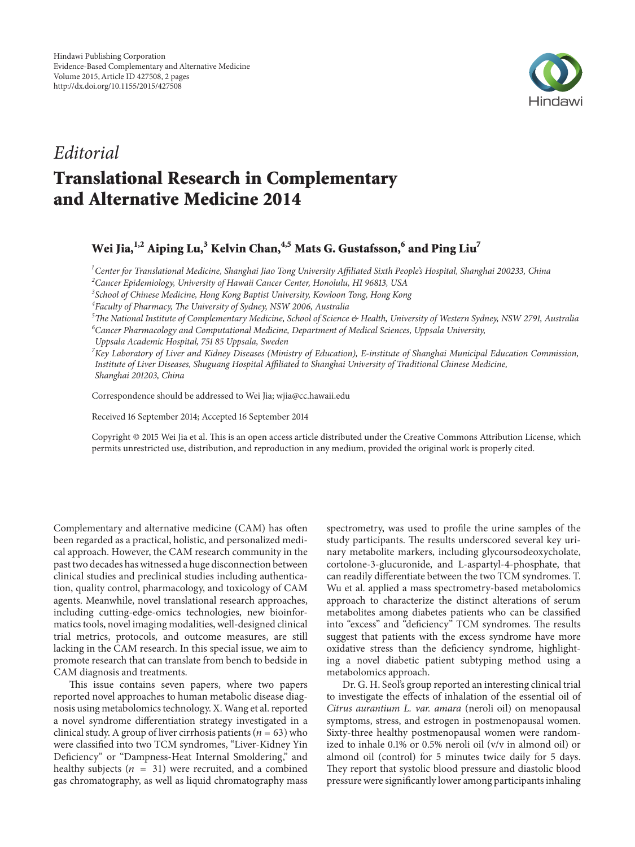

## *Editorial* **Translational Research in Complementary and Alternative Medicine 2014**

## **Wei Jia,1,2 Aiping Lu,<sup>3</sup> Kelvin Chan,4,5 Mats G. Gustafsson,6 and Ping Liu<sup>7</sup>**

*1 Center for Translational Medicine, Shanghai Jiao Tong University Affiliated Sixth People's Hospital, Shanghai 200233, China*

*2 Cancer Epidemiology, University of Hawaii Cancer Center, Honolulu, HI 96813, USA*

*3 School of Chinese Medicine, Hong Kong Baptist University, Kowloon Tong, Hong Kong*

*5 The National Institute of Complementary Medicine, School of Science & Health, University of Western Sydney, NSW 2791, Australia 6 Cancer Pharmacology and Computational Medicine, Department of Medical Sciences, Uppsala University,*

*Uppsala Academic Hospital, 751 85 Uppsala, Sweden*

*7 Key Laboratory of Liver and Kidney Diseases (Ministry of Education), E-institute of Shanghai Municipal Education Commission, Institute of Liver Diseases, Shuguang Hospital Affiliated to Shanghai University of Traditional Chinese Medicine, Shanghai 201203, China*

Correspondence should be addressed to Wei Jia; wjia@cc.hawaii.edu

Received 16 September 2014; Accepted 16 September 2014

Copyright © 2015 Wei Jia et al. This is an open access article distributed under the Creative Commons Attribution License, which permits unrestricted use, distribution, and reproduction in any medium, provided the original work is properly cited.

Complementary and alternative medicine (CAM) has often been regarded as a practical, holistic, and personalized medical approach. However, the CAM research community in the past two decades has witnessed a huge disconnection between clinical studies and preclinical studies including authentication, quality control, pharmacology, and toxicology of CAM agents. Meanwhile, novel translational research approaches, including cutting-edge-omics technologies, new bioinformatics tools, novel imaging modalities, well-designed clinical trial metrics, protocols, and outcome measures, are still lacking in the CAM research. In this special issue, we aim to promote research that can translate from bench to bedside in CAM diagnosis and treatments.

This issue contains seven papers, where two papers reported novel approaches to human metabolic disease diagnosis using metabolomics technology. X. Wang et al. reported a novel syndrome differentiation strategy investigated in a clinical study. A group of liver cirrhosis patients ( $n = 63$ ) who were classified into two TCM syndromes, "Liver-Kidney Yin Deficiency" or "Dampness-Heat Internal Smoldering," and healthy subjects ( $n = 31$ ) were recruited, and a combined gas chromatography, as well as liquid chromatography mass

spectrometry, was used to profile the urine samples of the study participants. The results underscored several key urinary metabolite markers, including glycoursodeoxycholate, cortolone-3-glucuronide, and L-aspartyl-4-phosphate, that can readily differentiate between the two TCM syndromes. T. Wu et al. applied a mass spectrometry-based metabolomics approach to characterize the distinct alterations of serum metabolites among diabetes patients who can be classified into "excess" and "deficiency" TCM syndromes. The results suggest that patients with the excess syndrome have more oxidative stress than the deficiency syndrome, highlighting a novel diabetic patient subtyping method using a metabolomics approach.

Dr. G. H. Seol's group reported an interesting clinical trial to investigate the effects of inhalation of the essential oil of *Citrus aurantium L. var. amara* (neroli oil) on menopausal symptoms, stress, and estrogen in postmenopausal women. Sixty-three healthy postmenopausal women were randomized to inhale 0.1% or 0.5% neroli oil (v/v in almond oil) or almond oil (control) for 5 minutes twice daily for 5 days. They report that systolic blood pressure and diastolic blood pressure were significantly lower among participants inhaling

*<sup>4</sup> Faculty of Pharmacy, The University of Sydney, NSW 2006, Australia*